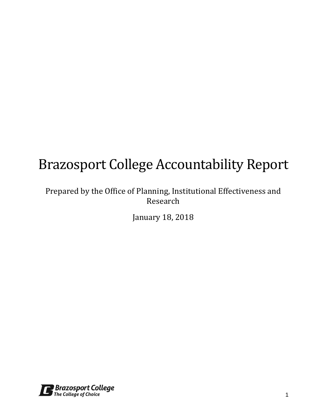# Brazosport College Accountability Report

## Prepared by the Office of Planning, Institutional Effectiveness and Research

January 18, 2018

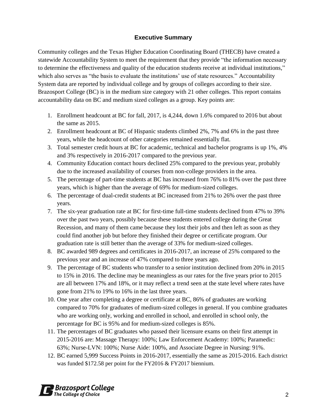#### **Executive Summary**

Community colleges and the Texas Higher Education Coordinating Board (THECB) have created a statewide Accountability System to meet the requirement that they provide "the information necessary to determine the effectiveness and quality of the education students receive at individual institutions," which also serves as "the basis to evaluate the institutions' use of state resources." Accountability System data are reported by individual college and by groups of colleges according to their size. Brazosport College (BC) is in the medium size category with 21 other colleges. This report contains accountability data on BC and medium sized colleges as a group. Key points are:

- 1. Enrollment headcount at BC for fall, 2017, is 4,244, down 1.6% compared to 2016 but about the same as 2015.
- 2. Enrollment headcount at BC of Hispanic students climbed 2%, 7% and 6% in the past three years, while the headcount of other categories remained essentially flat.
- 3. Total semester credit hours at BC for academic, technical and bachelor programs is up 1%, 4% and 3% respectively in 2016-2017 compared to the previous year.
- 4. Community Education contact hours declined 25% compared to the previous year, probably due to the increased availability of courses from non-college providers in the area.
- 5. The percentage of part-time students at BC has increased from 76% to 81% over the past three years, which is higher than the average of 69% for medium-sized colleges.
- 6. The percentage of dual-credit students at BC increased from 21% to 26% over the past three years.
- 7. The six-year graduation rate at BC for first-time full-time students declined from 47% to 39% over the past two years, possibly because these students entered college during the Great Recession, and many of them came because they lost their jobs and then left as soon as they could find another job but before they finished their degree or certificate program. Our graduation rate is still better than the average of 33% for medium-sized colleges.
- 8. BC awarded 989 degrees and certificates in 2016-2017, an increase of 25% compared to the previous year and an increase of 47% compared to three years ago.
- 9. The percentage of BC students who transfer to a senior institution declined from 20% in 2015 to 15% in 2016. The decline may be meaningless as our rates for the five years prior to 2015 are all between 17% and 18%, or it may reflect a trend seen at the state level where rates have gone from 21% to 19% to 16% in the last three years.
- 10. One year after completing a degree or certificate at BC, 86% of graduates are working compared to 70% for graduates of medium-sized colleges in general. If you combine graduates who are working only, working and enrolled in school, and enrolled in school only, the percentage for BC is 95% and for medium-sized colleges is 85%.
- 11. The percentages of BC graduates who passed their licensure exams on their first attempt in 2015-2016 are: Massage Therapy: 100%; Law Enforcement Academy: 100%; Paramedic: 63%; Nurse-LVN: 100%; Nurse Aide: 100%, and Associate Degree in Nursing: 91%.
- 12. BC earned 5,999 Success Points in 2016-2017, essentially the same as 2015-2016. Each district was funded \$172.58 per point for the FY2016 & FY2017 biennium.

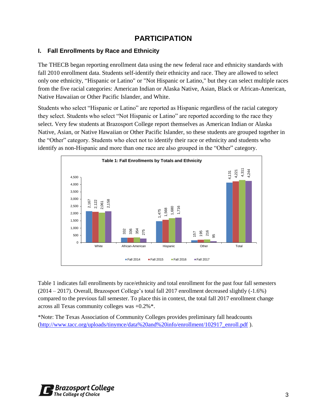## **PARTICIPATION**

#### **I. Fall Enrollments by Race and Ethnicity**

The THECB began reporting enrollment data using the new federal race and ethnicity standards with fall 2010 enrollment data. Students self-identify their ethnicity and race. They are allowed to select only one ethnicity, "Hispanic or Latino" or "Not Hispanic or Latino," but they can select multiple races from the five racial categories: American Indian or Alaska Native, Asian, Black or African-American, Native Hawaiian or Other Pacific Islander, and White.

Students who select "Hispanic or Latino" are reported as Hispanic regardless of the racial category they select. Students who select "Not Hispanic or Latino" are reported according to the race they select. Very few students at Brazosport College report themselves as American Indian or Alaska Native, Asian, or Native Hawaiian or Other Pacific Islander, so these students are grouped together in the "Other" category. Students who elect not to identify their race or ethnicity and students who identify as non-Hispanic and more than one race are also grouped in the "Other" category.



Table 1 indicates fall enrollments by race/ethnicity and total enrollment for the past four fall semesters (2014 – 2017). Overall, Brazosport College's total fall 2017 enrollment decreased slightly (-1.6%) compared to the previous fall semester. To place this in context, the total fall 2017 enrollment change across all Texas community colleges was +0.2%\*.

\*Note: The Texas Association of Community Colleges provides preliminary fall headcounts

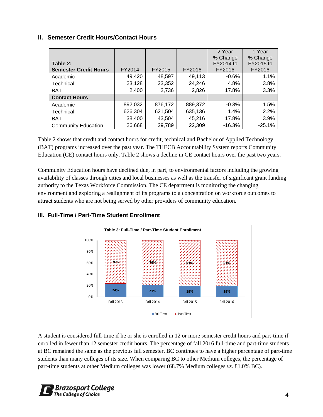#### **II. Semester Credit Hours/Contact Hours**

|                              |         |         |         | 2 Year<br>% Change | 1 Year<br>% Change |
|------------------------------|---------|---------|---------|--------------------|--------------------|
| Table 2:                     |         |         |         | FY2014 to          | FY2015 to          |
| <b>Semester Credit Hours</b> | FY2014  | FY2015  | FY2016  | FY2016             | FY2016             |
| Academic                     | 49,420  | 48,597  | 49,113  | $-0.6%$            | 1.1%               |
| Technical                    | 23,128  | 23,352  | 24,246  | 4.8%               | 3.8%               |
| <b>BAT</b>                   | 2,400   | 2,736   | 2,826   | 17.8%              | 3.3%               |
| <b>Contact Hours</b>         |         |         |         |                    |                    |
| Academic                     | 892,032 | 876,172 | 889,372 | $-0.3%$            | 1.5%               |
| Technical                    | 626,304 | 621,504 | 635,136 | 1.4%               | 2.2%               |
| <b>BAT</b>                   | 38,400  | 43,504  | 45,216  | 17.8%              | 3.9%               |
| <b>Community Education</b>   | 26,668  | 29,789  | 22,309  | $-16.3%$           | $-25.1%$           |

Table 2 shows that credit and contact hours for credit, technical and Bachelor of Applied Technology (BAT) programs increased over the past year. The THECB Accountability System reports Community Education (CE) contact hours only. Table 2 shows a decline in CE contact hours over the past two years.

Community Education hours have declined due, in part, to environmental factors including the growing availability of classes through cities and local businesses as well as the transfer of significant grant funding authority to the Texas Workforce Commission. The CE department is monitoring the changing environment and exploring a realignment of its programs to a concentration on workforce outcomes to attract students who are not being served by other providers of community education.



#### **III. Full-Time / Part-Time Student Enrollment**

A student is considered full-time if he or she is enrolled in 12 or more semester credit hours and part-time if enrolled in fewer than 12 semester credit hours. The percentage of fall 2016 full-time and part-time students at BC remained the same as the previous fall semester. BC continues to have a higher percentage of part-time students than many colleges of its size. When comparing BC to other Medium colleges, the percentage of part-time students at other Medium colleges was lower (68.7% Medium colleges *vs*. 81.0% BC).

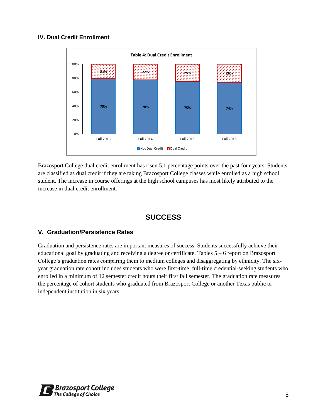#### **IV. Dual Credit Enrollment**



Brazosport College dual credit enrollment has risen 5.1 percentage points over the past four years. Students are classified as dual credit if they are taking Brazosport College classes while enrolled as a high school student. The increase in course offerings at the high school campuses has most likely attributed to the increase in dual credit enrollment.

## **SUCCESS**

#### **V. Graduation/Persistence Rates**

Graduation and persistence rates are important measures of success. Students successfully achieve their educational goal by graduating and receiving a degree or certificate. Tables 5 – 6 report on Brazosport College's graduation rates comparing them to medium colleges and disaggregating by ethnicity. The sixyear graduation rate cohort includes students who were first-time, full-time credential-seeking students who enrolled in a minimum of 12 semester credit hours their first fall semester. The graduation rate measures the percentage of cohort students who graduated from Brazosport College or another Texas public or independent institution in six years.

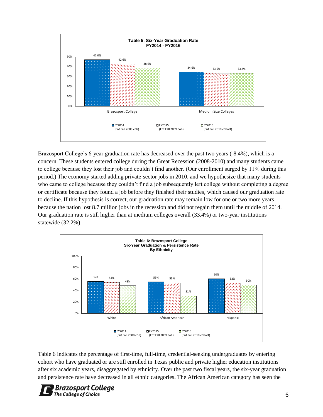

Brazosport College's 6-year graduation rate has decreased over the past two years (-8.4%), which is a concern. These students entered college during the Great Recession (2008-2010) and many students came to college because they lost their job and couldn't find another. (Our enrollment surged by 11% during this period.) The economy started adding private-sector jobs in 2010, and we hypothesize that many students who came to college because they couldn't find a job subsequently left college without completing a degree or certificate because they found a job before they finished their studies, which caused our graduation rate to decline. If this hypothesis is correct, our graduation rate may remain low for one or two more years because the nation lost 8.7 million jobs in the recession and did not regain them until the middle of 2014. Our graduation rate is still higher than at medium colleges overall (33.4%) or two-year institutions statewide (32.2%).



Table 6 indicates the percentage of first-time, full-time, credential-seeking undergraduates by entering cohort who have graduated or are still enrolled in Texas public and private higher education institutions after six academic years, disaggregated by ethnicity. Over the past two fiscal years, the six-year graduation and persistence rate have decreased in all ethnic categories. The African American category has seen the

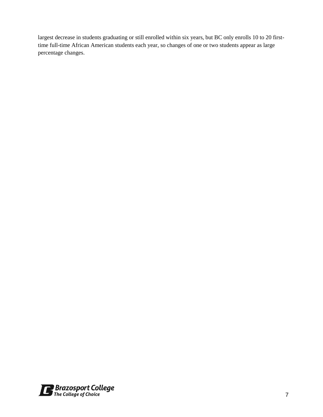largest decrease in students graduating or still enrolled within six years, but BC only enrolls 10 to 20 firsttime full-time African American students each year, so changes of one or two students appear as large percentage changes.

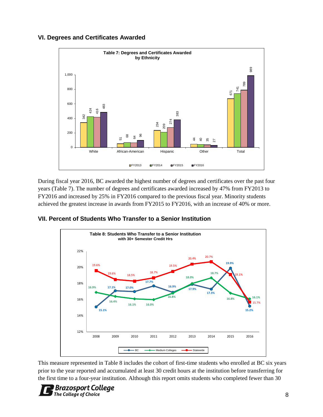#### **VI. Degrees and Certificates Awarded**



During fiscal year 2016, BC awarded the highest number of degrees and certificates over the past four years (Table 7). The number of degrees and certificates awarded increased by 47% from FY2013 to FY2016 and increased by 25% in FY2016 compared to the previous fiscal year. Minority students achieved the greatest increase in awards from FY2015 to FY2016, with an increase of 40% or more.

#### **VII. Percent of Students Who Transfer to a Senior Institution**



This measure represented in Table 8 includes the cohort of first-time students who enrolled at BC six years prior to the year reported and accumulated at least 30 credit hours at the institution before transferring for

## **Brazosport College**<br>The College of Choice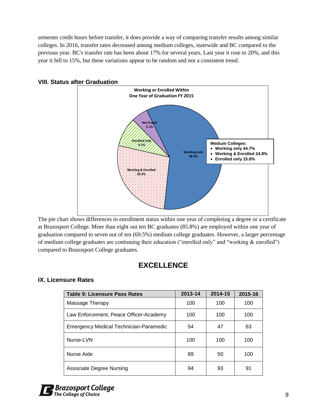semester credit hours before transfer, it does provide a way of comparing transfer results among similar colleges. In 2016, transfer rates decreased among medium colleges, statewide and BC compared to the previous year. BC's transfer rate has been about 17% for several years. Last year it rose to 20%, and this year it fell to 15%, but these variations appear to be random and not a consistent trend.



#### **VIII. Status after Graduation**

The pie chart shows differences in enrollment status within one year of completing a degree or a certificate at Brazosport College. More than eight out ten BC graduates (85.8%) are employed within one year of graduation compared to seven out of ten (69.5%) medium college graduates. However, a larger percentage of medium college graduates are continuing their education ("enrolled only" and "working & enrolled") compared to Brazosport College graduates.

## **EXCELLENCE**

#### **IX. Licensure Rates**

| Table 9: Licensure Pass Rates          | 2013-14 | 2014-15 | 2015-16 |  |
|----------------------------------------|---------|---------|---------|--|
| Massage Therapy                        | 100     | 100     | 100     |  |
| Law Enforcement, Peace Officer-Academy | 100     | 100     | 100     |  |
| Emergency Medical Technician-Paramedic | 54      | 47      | 63      |  |
| Nurse-LVN                              | 100     | 100     | 100     |  |
| Nurse Aide                             | 89      | 50      | 100     |  |
| <b>Associate Degree Nursing</b>        | 94      | 93      | 91      |  |